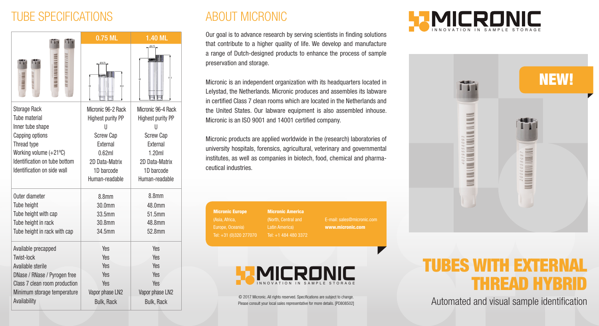## TUBE SPECIFICATIONS

| n                                                                                                                                                                                    | 0.75 ML                                                                                                                                  | $1.40$ ML                                                                                                                                |
|--------------------------------------------------------------------------------------------------------------------------------------------------------------------------------------|------------------------------------------------------------------------------------------------------------------------------------------|------------------------------------------------------------------------------------------------------------------------------------------|
|                                                                                                                                                                                      | 33,5                                                                                                                                     | 51.5                                                                                                                                     |
| <b>Storage Rack</b><br>Tube material<br>Inner tube shape<br>Capping options<br>Thread type<br>Working volume (+21°C)<br>Identification on tube bottom<br>Identification on side wall | Micronic 96-2 Rack<br>Highest purity PP<br>Н<br><b>Screw Cap</b><br>External<br>0.62ml<br>2D Data-Matrix<br>1D barcode<br>Human-readable | Micronic 96-4 Rack<br>Highest purity PP<br>Ш<br><b>Screw Cap</b><br>External<br>1.20ml<br>2D Data-Matrix<br>1D barcode<br>Human-readable |
| Outer diameter                                                                                                                                                                       | 8.8 <sub>mm</sub>                                                                                                                        | 8.8 <sub>mm</sub>                                                                                                                        |
| <b>Tube height</b>                                                                                                                                                                   | 30.0mm                                                                                                                                   | 48.0mm                                                                                                                                   |
| Tube height with cap                                                                                                                                                                 | 33.5mm                                                                                                                                   | 51.5mm                                                                                                                                   |
| Tube height in rack                                                                                                                                                                  | 30.8mm                                                                                                                                   | 48.8mm                                                                                                                                   |
| Tube height in rack with cap                                                                                                                                                         | 34.5mm                                                                                                                                   | 52.8mm                                                                                                                                   |
| Available precapped                                                                                                                                                                  | Yes                                                                                                                                      | Yes                                                                                                                                      |
| Twist-lock                                                                                                                                                                           | <b>Yes</b>                                                                                                                               | <b>Yes</b>                                                                                                                               |
| Available sterile                                                                                                                                                                    | Yes                                                                                                                                      | <b>Yes</b>                                                                                                                               |
| DNase / RNase / Pyrogen free                                                                                                                                                         | Yes                                                                                                                                      | Yes                                                                                                                                      |
| Class 7 clean room production                                                                                                                                                        | Yes                                                                                                                                      | <b>Yes</b>                                                                                                                               |
| Minimum storage temperature                                                                                                                                                          | Vapor phase LN2                                                                                                                          | Vapor phase LN2                                                                                                                          |
| Availability                                                                                                                                                                         | <b>Bulk, Rack</b>                                                                                                                        | <b>Bulk, Rack</b>                                                                                                                        |

## ABOUT MICRONIC

Our goal is to advance research by serving scientists in finding solutions that contribute to a higher quality of life. We develop and manufacture a range of Dutch-designed products to enhance the process of sample preservation and storage.

Micronic is an independent organization with its headquarters located in Lelystad, the Netherlands. Micronic produces and assembles its labware in certified Class 7 clean rooms which are located in the Netherlands and the United States. Our labware equipment is also assembled inhouse. Micronic is an ISO 9001 and 14001 certified company.

Micronic products are applied worldwide in the (research) laboratories of university hospitals, forensics, agricultural, veterinary and governmental institutes, as well as companies in biotech, food, chemical and pharmaceutical industries.

Micronic Europe (Asia, Africa, Tel: +31 (0)320 277070

www.micronic.com



Micronic America (North, Central and Tel: +1 484 480 3372

© 2017 Micronic. All rights reserved. Specifications are subject to change. Please consult your local sales representative for more details. [PD808502]





# S WITH EXTER THREAD HYBRID

Automated and visual sample identification